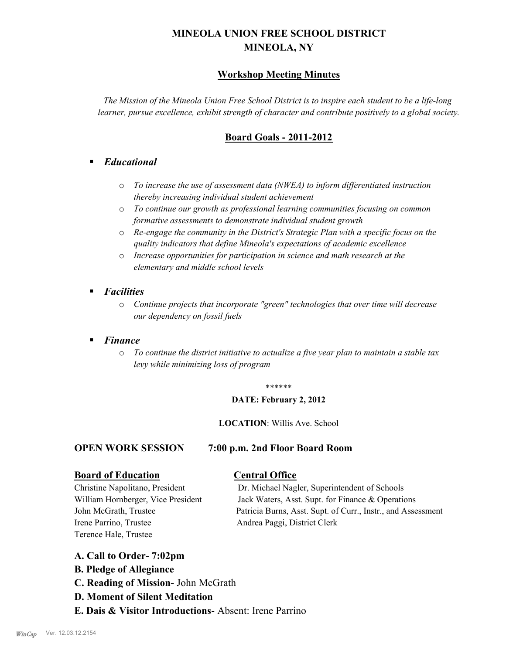# **MINEOLA UNION FREE SCHOOL DISTRICT MINEOLA, NY**

## **Workshop Meeting Minutes**

*The Mission of the Mineola Union Free School District is to inspire each student to be a life-long learner, pursue excellence, exhibit strength of character and contribute positively to a global society.*

## **Board Goals - 2011-2012**

## § *Educational*

- o *To increase the use of assessment data (NWEA) to inform differentiated instruction thereby increasing individual student achievement*
- o *To continue our growth as professional learning communities focusing on common formative assessments to demonstrate individual student growth*
- o *Re-engage the community in the District's Strategic Plan with a specific focus on the quality indicators that define Mineola's expectations of academic excellence*
- o *Increase opportunities for participation in science and math research at the elementary and middle school levels*
- *Facilities* 
	- o *Continue projects that incorporate "green" technologies that over time will decrease our dependency on fossil fuels*

## § *Finance*

o *To continue the district initiative to actualize a five year plan to maintain a stable tax levy while minimizing loss of program*

#### \*\*\*\*\*\*

### **DATE: February 2, 2012**

### **LOCATION**: Willis Ave. School

### **OPEN WORK SESSION 7:00 p.m. 2nd Floor Board Room**

### **Board of Education Central Office**

Irene Parrino, Trustee Andrea Paggi, District Clerk Terence Hale, Trustee

Christine Napolitano, President Dr. Michael Nagler, Superintendent of Schools William Hornberger, Vice President Jack Waters, Asst. Supt. for Finance & Operations John McGrath, Trustee Patricia Burns, Asst. Supt. of Curr., Instr., and Assessment

## **A. Call to Order- 7:02pm**

- **B. Pledge of Allegiance**
- **C. Reading of Mission-** John McGrath
- **D. Moment of Silent Meditation**
- **E. Dais & Visitor Introductions** Absent: Irene Parrino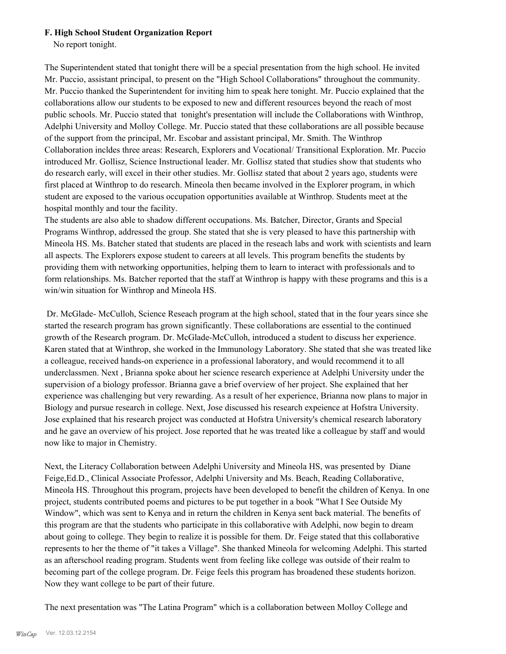#### **F. High School Student Organization Report**

No report tonight.

The Superintendent stated that tonight there will be a special presentation from the high school. He invited Mr. Puccio, assistant principal, to present on the "High School Collaborations" throughout the community. Mr. Puccio thanked the Superintendent for inviting him to speak here tonight. Mr. Puccio explained that the collaborations allow our students to be exposed to new and different resources beyond the reach of most public schools. Mr. Puccio stated that tonight's presentation will include the Collaborations with Winthrop, Adelphi University and Molloy College. Mr. Puccio stated that these collaborations are all possible because of the support from the principal, Mr. Escobar and assistant principal, Mr. Smith. The Winthrop Collaboration incldes three areas: Research, Explorers and Vocational/ Transitional Exploration. Mr. Puccio introduced Mr. Gollisz, Science Instructional leader. Mr. Gollisz stated that studies show that students who do research early, will excel in their other studies. Mr. Gollisz stated that about 2 years ago, students were first placed at Winthrop to do research. Mineola then became involved in the Explorer program, in which student are exposed to the various occupation opportunities available at Winthrop. Students meet at the hospital monthly and tour the facility.

The students are also able to shadow different occupations. Ms. Batcher, Director, Grants and Special Programs Winthrop, addressed the group. She stated that she is very pleased to have this partnership with Mineola HS. Ms. Batcher stated that students are placed in the reseach labs and work with scientists and learn all aspects. The Explorers expose student to careers at all levels. This program benefits the students by providing them with networking opportunities, helping them to learn to interact with professionals and to form relationships. Ms. Batcher reported that the staff at Winthrop is happy with these programs and this is a win/win situation for Winthrop and Mineola HS.

 Dr. McGlade- McCulloh, Science Reseach program at the high school, stated that in the four years since she started the research program has grown significantly. These collaborations are essential to the continued growth of the Research program. Dr. McGlade-McCulloh, introduced a student to discuss her experience. Karen stated that at Winthrop, she worked in the Immunology Laboratory. She stated that she was treated like a colleague, received hands-on experience in a professional laboratory, and would recommend it to all underclassmen. Next , Brianna spoke about her science research experience at Adelphi University under the supervision of a biology professor. Brianna gave a brief overview of her project. She explained that her experience was challenging but very rewarding. As a result of her experience, Brianna now plans to major in Biology and pursue research in college. Next, Jose discussed his research expeience at Hofstra University. Jose explained that his research project was conducted at Hofstra University's chemical research laboratory and he gave an overview of his project. Jose reported that he was treated like a colleague by staff and would now like to major in Chemistry.

Next, the Literacy Collaboration between Adelphi University and Mineola HS, was presented by Diane Feige,Ed.D., Clinical Associate Professor, Adelphi University and Ms. Beach, Reading Collaborative, Mineola HS. Throughout this program, projects have been developed to benefit the children of Kenya. In one project, students contributed poems and pictures to be put together in a book "What I See Outside My Window", which was sent to Kenya and in return the children in Kenya sent back material. The benefits of this program are that the students who participate in this collaborative with Adelphi, now begin to dream about going to college. They begin to realize it is possible for them. Dr. Feige stated that this collaborative represents to her the theme of "it takes a Village". She thanked Mineola for welcoming Adelphi. This started as an afterschool reading program. Students went from feeling like college was outside of their realm to becoming part of the college program. Dr. Feige feels this program has broadened these students horizon. Now they want college to be part of their future.

The next presentation was "The Latina Program" which is a collaboration between Molloy College and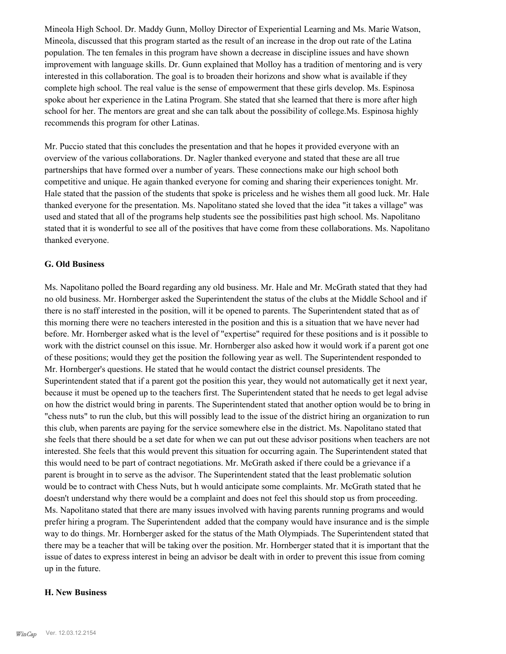Mineola High School. Dr. Maddy Gunn, Molloy Director of Experiential Learning and Ms. Marie Watson, Mineola, discussed that this program started as the result of an increase in the drop out rate of the Latina population. The ten females in this program have shown a decrease in discipline issues and have shown improvement with language skills. Dr. Gunn explained that Molloy has a tradition of mentoring and is very interested in this collaboration. The goal is to broaden their horizons and show what is available if they complete high school. The real value is the sense of empowerment that these girls develop. Ms. Espinosa spoke about her experience in the Latina Program. She stated that she learned that there is more after high school for her. The mentors are great and she can talk about the possibility of college.Ms. Espinosa highly recommends this program for other Latinas.

Mr. Puccio stated that this concludes the presentation and that he hopes it provided everyone with an overview of the various collaborations. Dr. Nagler thanked everyone and stated that these are all true partnerships that have formed over a number of years. These connections make our high school both competitive and unique. He again thanked everyone for coming and sharing their experiences tonight. Mr. Hale stated that the passion of the students that spoke is priceless and he wishes them all good luck. Mr. Hale thanked everyone for the presentation. Ms. Napolitano stated she loved that the idea "it takes a village" was used and stated that all of the programs help students see the possibilities past high school. Ms. Napolitano stated that it is wonderful to see all of the positives that have come from these collaborations. Ms. Napolitano thanked everyone.

#### **G. Old Business**

Ms. Napolitano polled the Board regarding any old business. Mr. Hale and Mr. McGrath stated that they had no old business. Mr. Hornberger asked the Superintendent the status of the clubs at the Middle School and if there is no staff interested in the position, will it be opened to parents. The Superintendent stated that as of this morning there were no teachers interested in the position and this is a situation that we have never had before. Mr. Hornberger asked what is the level of "expertise" required for these positions and is it possible to work with the district counsel on this issue. Mr. Hornberger also asked how it would work if a parent got one of these positions; would they get the position the following year as well. The Superintendent responded to Mr. Hornberger's questions. He stated that he would contact the district counsel presidents. The Superintendent stated that if a parent got the position this year, they would not automatically get it next year, because it must be opened up to the teachers first. The Superintendent stated that he needs to get legal advise on how the district would bring in parents. The Superintendent stated that another option would be to bring in "chess nuts" to run the club, but this will possibly lead to the issue of the district hiring an organization to run this club, when parents are paying for the service somewhere else in the district. Ms. Napolitano stated that she feels that there should be a set date for when we can put out these advisor positions when teachers are not interested. She feels that this would prevent this situation for occurring again. The Superintendent stated that this would need to be part of contract negotiations. Mr. McGrath asked if there could be a grievance if a parent is brought in to serve as the advisor. The Superintendent stated that the least problematic solution would be to contract with Chess Nuts, but h would anticipate some complaints. Mr. McGrath stated that he doesn't understand why there would be a complaint and does not feel this should stop us from proceeding. Ms. Napolitano stated that there are many issues involved with having parents running programs and would prefer hiring a program. The Superintendent added that the company would have insurance and is the simple way to do things. Mr. Hornberger asked for the status of the Math Olympiads. The Superintendent stated that there may be a teacher that will be taking over the position. Mr. Hornberger stated that it is important that the issue of dates to express interest in being an advisor be dealt with in order to prevent this issue from coming up in the future.

#### **H. New Business**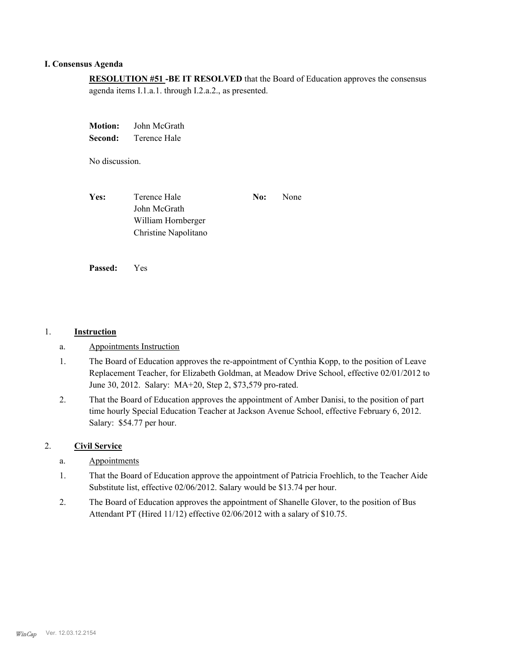## **I. Consensus Agenda**

**RESOLUTION #51 -BE IT RESOLVED** that the Board of Education approves the consensus agenda items I.1.a.1. through I.2.a.2., as presented.

**Motion:** John McGrath **Second:** Terence Hale

No discussion.

**Yes:** Terence Hale **No:** None John McGrath William Hornberger Christine Napolitano

**Passed:** Yes

#### 1. **Instruction**

- a. Appointments Instruction
- The Board of Education approves the re-appointment of Cynthia Kopp, to the position of Leave Replacement Teacher, for Elizabeth Goldman, at Meadow Drive School, effective 02/01/2012 to June 30, 2012. Salary: MA+20, Step 2, \$73,579 pro-rated. 1.
- That the Board of Education approves the appointment of Amber Danisi, to the position of part time hourly Special Education Teacher at Jackson Avenue School, effective February 6, 2012. Salary: \$54.77 per hour. 2.

### 2. **Civil Service**

- a. Appointments
- That the Board of Education approve the appointment of Patricia Froehlich, to the Teacher Aide Substitute list, effective 02/06/2012. Salary would be \$13.74 per hour. 1.
- The Board of Education approves the appointment of Shanelle Glover, to the position of Bus Attendant PT (Hired 11/12) effective 02/06/2012 with a salary of \$10.75. 2.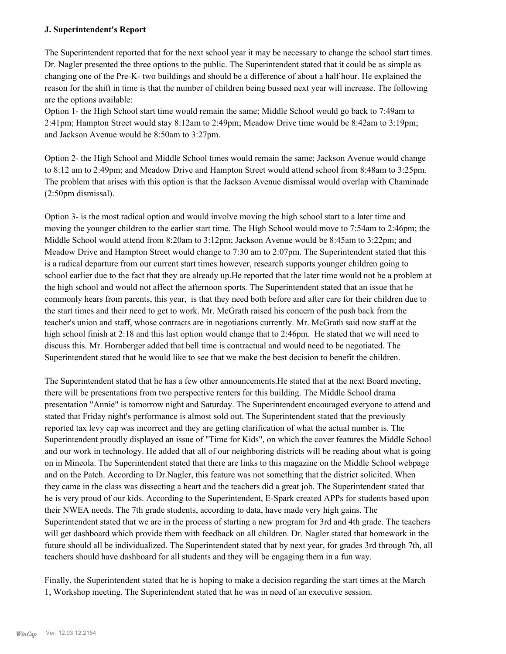### **J. Superintendent's Report**

The Superintendent reported that for the next school year it may be necessary to change the school start times. Dr. Nagler presented the three options to the public. The Superintendent stated that it could be as simple as changing one of the Pre-K- two buildings and should be a difference of about a half hour. He explained the reason for the shift in time is that the number of children being bussed next year will increase. The following are the options available:

Option 1- the High School start time would remain the same; Middle School would go back to 7:49am to 2:41pm; Hampton Street would stay 8:12am to 2:49pm; Meadow Drive time would be 8:42am to 3:19pm; and Jackson Avenue would be 8:50am to 3:27pm.

Option 2- the High School and Middle School times would remain the same; Jackson Avenue would change to 8:12 am to 2:49pm; and Meadow Drive and Hampton Street would attend school from 8:48am to 3:25pm. The problem that arises with this option is that the Jackson Avenue dismissal would overlap with Chaminade (2:50pm dismissal).

Option 3- is the most radical option and would involve moving the high school start to a later time and moving the younger children to the earlier start time. The High School would move to 7:54am to 2:46pm; the Middle School would attend from 8:20am to 3:12pm; Jackson Avenue would be 8:45am to 3:22pm; and Meadow Drive and Hampton Street would change to 7:30 am to 2:07pm. The Superintendent stated that this is a radical departure from our current start times however, research supports younger children going to school earlier due to the fact that they are already up.He reported that the later time would not be a problem at the high school and would not affect the afternoon sports. The Superintendent stated that an issue that he commonly hears from parents, this year, is that they need both before and after care for their children due to the start times and their need to get to work. Mr. McGrath raised his concern of the push back from the teacher's union and staff, whose contracts are in negotiations currently. Mr. McGrath said now staff at the high school finish at 2:18 and this last option would change that to 2:46pm. He stated that we will need to discuss this. Mr. Hornberger added that bell time is contractual and would need to be negotiated. The Superintendent stated that he would like to see that we make the best decision to benefit the children.

The Superintendent stated that he has a few other announcements.He stated that at the next Board meeting, there will be presentations from two perspective renters for this building. The Middle School drama presentation "Annie" is tomorrow night and Saturday. The Superintendent encouraged everyone to attend and stated that Friday night's performance is almost sold out. The Superintendent stated that the previously reported tax levy cap was incorrect and they are getting clarification of what the actual number is. The Superintendent proudly displayed an issue of "Time for Kids", on which the cover features the Middle School and our work in technology. He added that all of our neighboring districts will be reading about what is going on in Mineola. The Superintendent stated that there are links to this magazine on the Middle School webpage and on the Patch. According to Dr.Nagler, this feature was not something that the district solicited. When they came in the class was dissecting a heart and the teachers did a great job. The Superintendent stated that he is very proud of our kids. According to the Superintendent, E-Spark created APPs for students based upon their NWEA needs. The 7th grade students, according to data, have made very high gains. The Superintendent stated that we are in the process of starting a new program for 3rd and 4th grade. The teachers will get dashboard which provide them with feedback on all children. Dr. Nagler stated that homework in the future should all be individualized. The Superintendent stated that by next year, for grades 3rd through 7th, all teachers should have dashboard for all students and they will be engaging them in a fun way.

Finally, the Superintendent stated that he is hoping to make a decision regarding the start times at the March 1, Workshop meeting. The Superintendent stated that he was in need of an executive session.